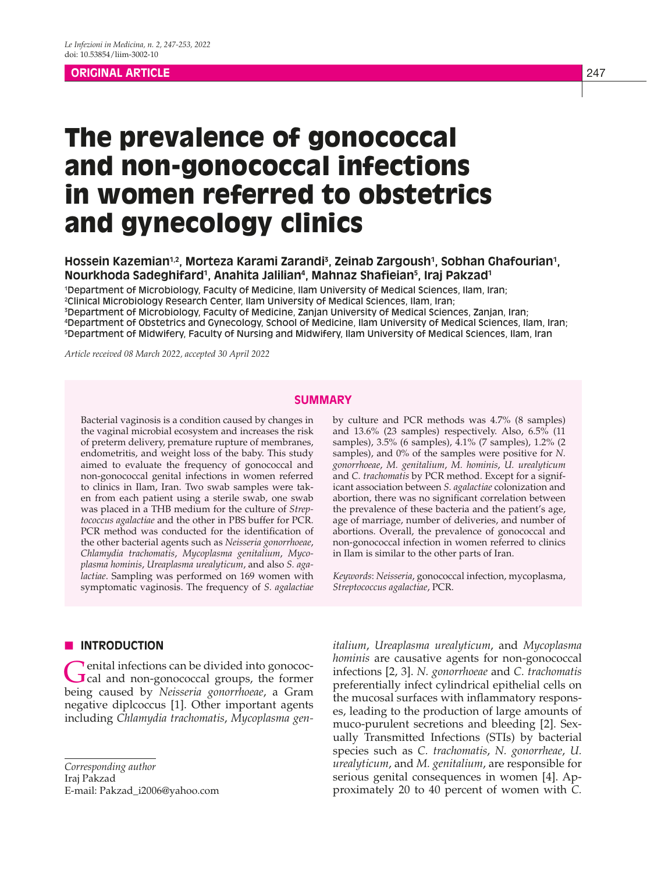# **ORIGINAL ARTICLE** 247

# The prevalence of gonococcal and non-gonococcal infections in women referred to obstetrics and gynecology clinics

# Hossein Kazemian<sup>1,2</sup>, Morteza Karami Zarandi<sup>3</sup>, Zeinab Zargoush<sup>1</sup>, Sobhan Ghafourian<sup>1</sup>, **Nourkhoda Sadeghifard1 , Anahita Jalilian4 , Mahnaz Shafieian5 , Iraj Pakzad1**

 Department of Microbiology, Faculty of Medicine, Ilam University of Medical Sciences, Ilam, Iran; Clinical Microbiology Research Center, Ilam University of Medical Sciences, Ilam, Iran; Department of Microbiology, Faculty of Medicine, Zanjan University of Medical Sciences, Zanjan, Iran; Department of Obstetrics and Gynecology, School of Medicine, Ilam University of Medical Sciences, Ilam, Iran;

5 Department of Midwifery, Faculty of Nursing and Midwifery, Ilam University of Medical Sciences, Ilam, Iran

*Article received 08 March 2022, accepted 30 April 2022*

# **SUMMARY**

Bacterial vaginosis is a condition caused by changes in the vaginal microbial ecosystem and increases the risk of preterm delivery, premature rupture of membranes, endometritis, and weight loss of the baby. This study aimed to evaluate the frequency of gonococcal and non-gonococcal genital infections in women referred to clinics in Ilam, Iran. Two swab samples were taken from each patient using a sterile swab, one swab was placed in a THB medium for the culture of *Streptococcus agalactiae* and the other in PBS buffer for PCR. PCR method was conducted for the identification of the other bacterial agents such as *Neisseria gonorrhoeae*, *Chlamydia trachomatis*, *Mycoplasma genitalium*, *Mycoplasma hominis*, *Ureaplasma urealyticum*, and also *S. agalactiae*. Sampling was performed on 169 women with symptomatic vaginosis. The frequency of *S. agalactiae*

# **N** INTRODUCTION

Genital infections can be divided into gonococ-<br>Cal and non-gonococcal groups, the former being caused by *Neisseria gonorrhoeae*, a Gram negative diplcoccus [1]. Other important agents including *Chlamydia trachomatis*, *Mycoplasma gen-*

*Corresponding author* Iraj Pakzad E-mail: Pakzad\_i2006@yahoo.com by culture and PCR methods was 4.7% (8 samples) and 13.6% (23 samples) respectively. Also, 6.5% (11 samples), 3.5% (6 samples), 4.1% (7 samples), 1.2% (2 samples), and 0% of the samples were positive for *N. gonorrhoeae*, *M. genitalium*, *M. hominis*, *U. urealyticum* and *C. trachomatis* by PCR method. Except for a significant association between *S. agalactiae* colonization and abortion, there was no significant correlation between the prevalence of these bacteria and the patient's age, age of marriage, number of deliveries, and number of abortions. Overall, the prevalence of gonococcal and non-gonococcal infection in women referred to clinics in Ilam is similar to the other parts of Iran.

*Keywords*: *Neisseria*, gonococcal infection, mycoplasma, *Streptococcus agalactiae*, PCR.

*italium*, *Ureaplasma urealyticum*, and *Mycoplasma hominis* are causative agents for non-gonococcal infections [2, 3]. *N. gonorrhoeae* and *C. trachomatis* preferentially infect cylindrical epithelial cells on the mucosal surfaces with inflammatory responses, leading to the production of large amounts of muco-purulent secretions and bleeding [2]. Sexually Transmitted Infections (STIs) by bacterial species such as *C. trachomatis*, *N. gonorrheae*, *U. urealyticum*, and *M. genitalium*, are responsible for serious genital consequences in women [4]. Approximately 20 to 40 percent of women with *C.*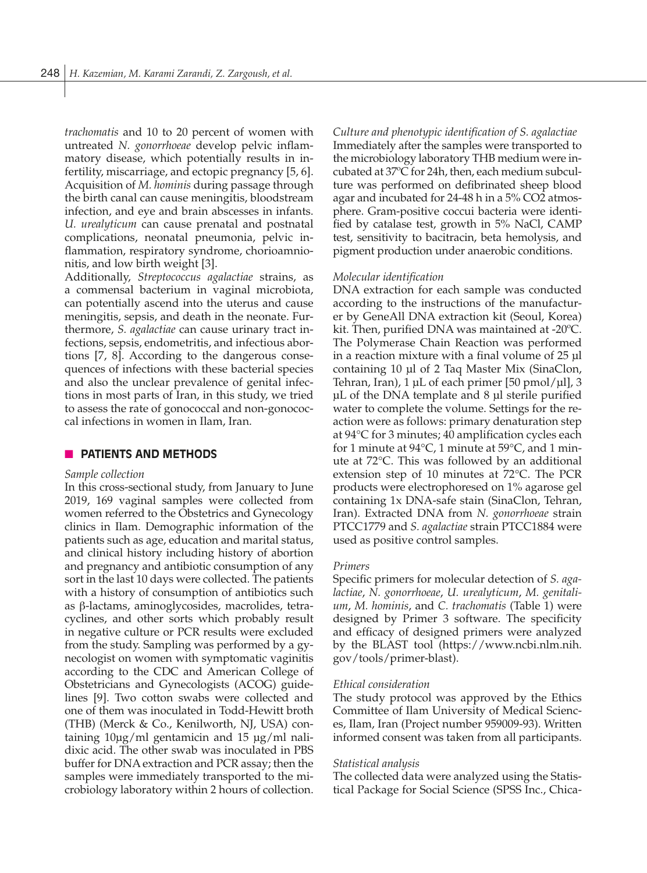*trachomatis* and 10 to 20 percent of women with untreated *N. gonorrhoeae* develop pelvic inflammatory disease, which potentially results in infertility, miscarriage, and ectopic pregnancy [5, 6]. Acquisition of *M. hominis* during passage through the birth canal can cause meningitis, bloodstream infection, and eye and brain abscesses in infants. *U. urealyticum* can cause prenatal and postnatal complications, neonatal pneumonia, pelvic inflammation, respiratory syndrome, chorioamnionitis, and low birth weight [3].

Additionally, *Streptococcus agalactiae* strains, as a commensal bacterium in vaginal microbiota, can potentially ascend into the uterus and cause meningitis, sepsis, and death in the neonate. Furthermore, *S. agalactiae* can cause urinary tract infections, sepsis, endometritis, and infectious abortions [7, 8]. According to the dangerous consequences of infections with these bacterial species and also the unclear prevalence of genital infections in most parts of Iran, in this study, we tried to assess the rate of gonococcal and non-gonococcal infections in women in Ilam, Iran.

# **NO PATIENTS AND METHODS**

#### *Sample collection*

In this cross-sectional study, from January to June 2019, 169 vaginal samples were collected from women referred to the Obstetrics and Gynecology clinics in Ilam. Demographic information of the patients such as age, education and marital status, and clinical history including history of abortion and pregnancy and antibiotic consumption of any sort in the last 10 days were collected. The patients with a history of consumption of antibiotics such as β-lactams, aminoglycosides, macrolides, tetracyclines, and other sorts which probably result in negative culture or PCR results were excluded from the study. Sampling was performed by a gynecologist on women with symptomatic vaginitis according to the CDC and American College of Obstetricians and Gynecologists (ACOG) guidelines [9]. Two cotton swabs were collected and one of them was inoculated in Todd-Hewitt broth (THB) (Merck & Co., Kenilworth, NJ, USA) containing 10µg/ml gentamicin and 15 µg/ml nalidixic acid. The other swab was inoculated in PBS buffer for DNA extraction and PCR assay; then the samples were immediately transported to the microbiology laboratory within 2 hours of collection. *Culture and phenotypic identification of S. agalactiae* Immediately after the samples were transported to the microbiology laboratory THB medium were incubated at 37ºC for 24h, then, each medium subculture was performed on defibrinated sheep blood agar and incubated for 24-48 h in a 5% CO2 atmosphere. Gram-positive coccui bacteria were identified by catalase test, growth in 5% NaCl, CAMP test, sensitivity to bacitracin, beta hemolysis, and pigment production under anaerobic conditions.

#### *Molecular identification*

DNA extraction for each sample was conducted according to the instructions of the manufacturer by GeneAll DNA extraction kit (Seoul, Korea) kit. Then, purified DNA was maintained at -20ºC. The Polymerase Chain Reaction was performed in a reaction mixture with a final volume of 25 µl containing 10 µl of 2 Taq Master Mix (SinaClon, Tehran, Iran), 1 μL of each primer [50 pmol/μl], 3 μL of the DNA template and 8 µl sterile purified water to complete the volume. Settings for the reaction were as follows: primary denaturation step at 94°C for 3 minutes; 40 amplification cycles each for 1 minute at 94°C, 1 minute at 59°C, and 1 minute at 72°C. This was followed by an additional extension step of 10 minutes at 72°C. The PCR products were electrophoresed on 1% agarose gel containing 1x DNA-safe stain (SinaClon, Tehran, Iran). Extracted DNA from *N. gonorrhoeae* strain PTCC1779 and *S. agalactiae* strain PTCC1884 were used as positive control samples.

#### *Primers*

Specific primers for molecular detection of *S. agalactiae*, *N. gonorrhoeae*, *U. urealyticum*, *M. genitalium*, *M. hominis*, and *C. trachomatis* (Table 1) were designed by Primer 3 software. The specificity and efficacy of designed primers were analyzed by the BLAST tool (https://www.ncbi.nlm.nih. gov/tools/primer-blast).

#### *Ethical consideration*

The study protocol was approved by the Ethics Committee of Ilam University of Medical Sciences, Ilam, Iran (Project number 959009-93). Written informed consent was taken from all participants.

#### *Statistical analysis*

The collected data were analyzed using the Statistical Package for Social Science (SPSS Inc., Chica-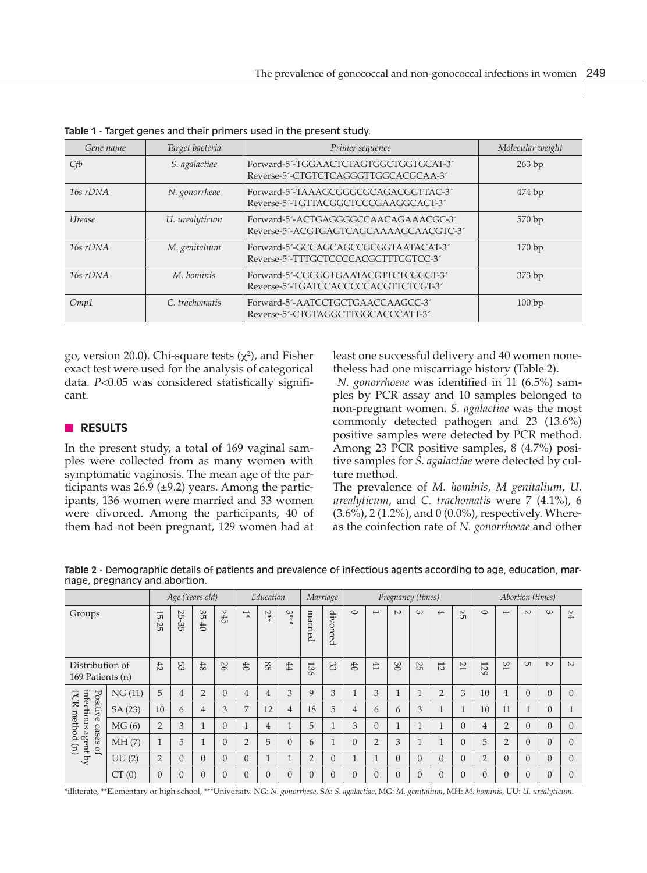| Gene name                   | Target bacteria | Primer sequence                                                                | Molecular weight |
|-----------------------------|-----------------|--------------------------------------------------------------------------------|------------------|
| Cfb                         | S. agalactiae   | Forward-5'-TGGAACTCTAGTGGCTGGTGCAT-3'<br>Reverse-5'-CTGTCTCAGGGTTGGCACGCAA-3'  | 263 bp           |
| $16s$ rDNA                  | N. gonorrheae   | Forward-5'-TAAAGCGGGCGCAGACGGTTAC-3'<br>Reverse-5'-TGTTACGGCTCCCGAAGGCACT-3'   | 474bp            |
| <i><u><b>Urease</b></u></i> | U. urealyticum  | Forward-5'-ACTGAGGGGCCAACAGAAACGC-3'<br>Reverse-5'-ACGTGAGTCAGCAAAAGCAACGTC-3' | 570 bp           |
| $16s$ rDNA                  | M. genitalium   | Forward-5'-GCCAGCAGCCGCGGTAATACAT-3'<br>Reverse-5'-TTTGCTCCCCACGCTTTCGTCC-3'   | 170bp            |
| $16s$ rDNA                  | M. hominis      | Forward-5'-CGCGGTGAATACGTTCTCGGGT-3'<br>Reverse-5'-TGATCCACCCCCACGTTCTCGT-3'   | 373bp            |
| Omp1                        | C. trachomatis  | Forward-5'-AATCCTGCTGAACCAAGCC-3'<br>Reverse-5'-CTGTAGGCTTGGCACCCATT-3'        | 100bp            |

**Table 1** - Target genes and their primers used in the present study.

go, version 20.0). Chi-square tests  $(\chi^2)$ , and Fisher exact test were used for the analysis of categorical data. *P*<0.05 was considered statistically significant.

# n **RESULTS**

In the present study, a total of 169 vaginal samples were collected from as many women with symptomatic vaginosis. The mean age of the participants was  $26.9$  ( $\pm$ 9.2) years. Among the participants, 136 women were married and 33 women were divorced. Among the participants, 40 of them had not been pregnant, 129 women had at least one successful delivery and 40 women nonetheless had one miscarriage history (Table 2).

*N. gonorrhoeae* was identified in 11 (6.5%) samples by PCR assay and 10 samples belonged to non-pregnant women. *S. agalactiae* was the most commonly detected pathogen and 23 (13.6%) positive samples were detected by PCR method. Among 23 PCR positive samples, 8 (4.7%) positive samples for *S. agalactiae* were detected by culture method.

The prevalence of *M. hominis*, *M genitalium*, *U. urealyticum*, and *C. trachomatis* were 7 (4.1%), 6 (3.6%), 2 (1.2%), and 0 (0.0%), respectively. Whereas the coinfection rate of *N. gonorrhoeae* and other

|                                                                                                                          |        | Age (Years old)           |                |                         | Education |                    | Marriage       |                | Pregnancy (times) |          |                      |                          |              |              | Abortion (times) |                |                |                          |          |                |          |
|--------------------------------------------------------------------------------------------------------------------------|--------|---------------------------|----------------|-------------------------|-----------|--------------------|----------------|----------------|-------------------|----------|----------------------|--------------------------|--------------|--------------|------------------|----------------|----------------|--------------------------|----------|----------------|----------|
| Groups                                                                                                                   |        | $\overline{}$<br>்ப<br>35 | 25<br>ပ္ပဲ     | 35<br>$-40$             | S∯⋜       | $\overline{1}^*$   | $2**$          | $3***$         | married           | divorced | $\circ$              | $\overline{\phantom{0}}$ | $\sim$       | $\omega$     | $\rightarrow$    | Ъ              | $\circ$        | $\overline{\phantom{0}}$ | $\sim$   | $\omega$       | ⊬        |
| Distribution of<br>169 Patients (n)                                                                                      |        | 42                        | 53             | 48                      | 26        | #                  | 85             | #              | 136               | 33       | 齿                    | 凸                        | $\infty$     | 55           | $\overline{5}$   | $\overline{z}$ | 129            | 31                       | GП       | $\sim$         | $\sim$   |
| infectious<br>PCR<br>Positive<br>method<br>S<br>agent<br><b>Sess</b><br>$\mathfrak{D}$<br>$\mathsf{D}$<br>$\overline{a}$ | NG(11) | 5                         | 4              | $\overline{2}$          | $\Omega$  | $\overline{4}$     | $\overline{4}$ | 3              | 9                 | 3        | $\blacktriangleleft$ | 3                        | $\mathbf{I}$ | $\mathbf{d}$ | $\overline{2}$   | 3              | 10             | $\mathbf{I}$             | $\Omega$ | $\theta$       | $\Omega$ |
|                                                                                                                          | SA(23) | 10                        | 6              | $\overline{4}$          | 3         | 7                  | 12             | 4              | 18                | 5        | 4                    | 6                        | 6            | 3            | и                |                | 10             | 11                       |          | $\Omega$       |          |
|                                                                                                                          | MG(6)  | $\overline{2}$            | 3              | $\mathbf{I}$<br>$\perp$ | $\Omega$  | -1<br>$\mathbf{I}$ | 4              |                | 5                 |          | 3                    | $\Omega$                 | 1<br>л.      |              | 1<br>H           | $\Omega$       | 4              | $\overline{2}$           | $\Omega$ | $\Omega$       | $\Omega$ |
|                                                                                                                          | MH(7)  |                           | 5              | $\mathbf{I}$            | $\Omega$  | $\overline{2}$     | 5              | $\Omega$       | 6                 |          | $\Omega$             | $\overline{2}$           | 3            | $\mathbf{d}$ | 1                | $\Omega$       | 5              | $\overline{2}$           | $\Omega$ | $\Omega$       | $\Omega$ |
|                                                                                                                          | UU(2)  | $\overline{2}$            | $\overline{0}$ | $\Omega$                | $\Omega$  | $\overline{0}$     | 1              | $\mathbf{I}$   | 2                 | $\Omega$ | $\blacktriangleleft$ | $\mathbf{I}$             | $\theta$     | $\Omega$     | $\overline{0}$   | $\Omega$       | $\overline{2}$ | $\Omega$                 | $\Omega$ | $\overline{0}$ | $\theta$ |
|                                                                                                                          | CT(0)  | $\Omega$                  | $\overline{0}$ | $\overline{0}$          | $\Omega$  | $\theta$           | $\Omega$       | $\overline{0}$ | $\Omega$          | $\Omega$ | $\overline{0}$       | $\Omega$                 | $\theta$     | $\Omega$     | $\overline{0}$   | $\overline{0}$ |                | $\Omega$                 | $\Omega$ | $\theta$       | $\Omega$ |

**Table 2** - Demographic details of patients and prevalence of infectious agents according to age, education, marriage, pregnancy and abortion.

\*illiterate, \*\*Elementary or high school, \*\*\*University. NG: *N. gonorrheae*, SA: *S. agalactiae*, MG: *M. genitalium*, MH: *M. hominis*, UU: *U. urealyticum.*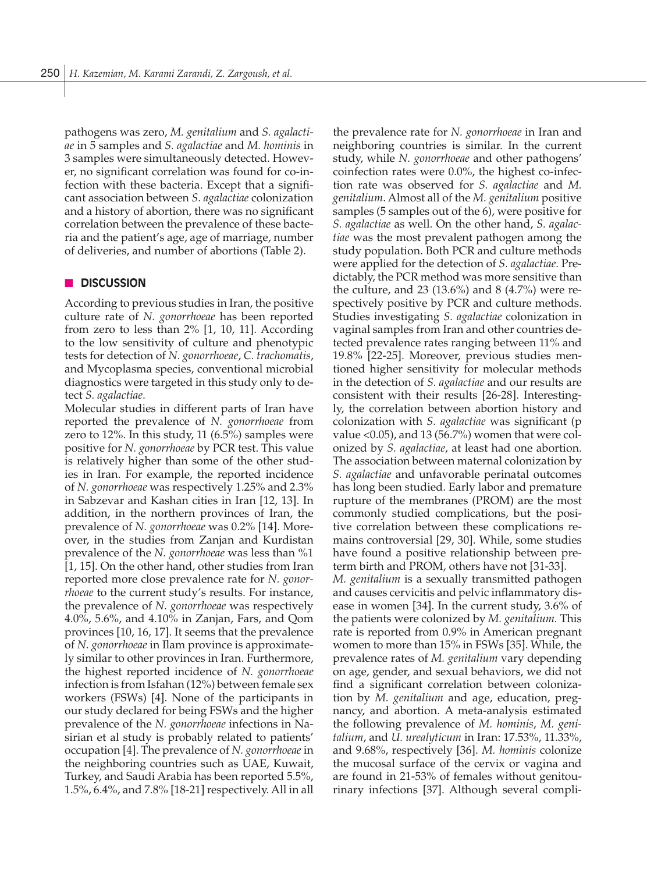pathogens was zero, *M. genitalium* and *S. agalactiae* in 5 samples and *S. agalactiae* and *M. hominis* in 3 samples were simultaneously detected. However, no significant correlation was found for co-infection with these bacteria. Except that a significant association between *S. agalactiae* colonization and a history of abortion, there was no significant correlation between the prevalence of these bacteria and the patient's age, age of marriage, number of deliveries, and number of abortions (Table 2).

# **n** DISCUSSION

According to previous studies in Iran, the positive culture rate of *N. gonorrhoeae* has been reported from zero to less than 2% [1, 10, 11]. According to the low sensitivity of culture and phenotypic tests for detection of *N. gonorrhoeae*, *C. trachomatis*, and Mycoplasma species, conventional microbial diagnostics were targeted in this study only to detect *S. agalactiae*.

Molecular studies in different parts of Iran have reported the prevalence of *N. gonorrhoeae* from zero to 12%. In this study, 11 (6.5%) samples were positive for *N. gonorrhoeae* by PCR test. This value is relatively higher than some of the other studies in Iran. For example, the reported incidence of *N. gonorrhoeae* was respectively 1.25% and 2.3% in Sabzevar and Kashan cities in Iran [12, 13]. In addition, in the northern provinces of Iran, the prevalence of *N. gonorrhoeae* was 0.2% [14]. Moreover, in the studies from Zanjan and Kurdistan prevalence of the *N. gonorrhoeae* was less than %1 [1, 15]. On the other hand, other studies from Iran reported more close prevalence rate for *N. gonorrhoeae* to the current study's results. For instance, the prevalence of *N. gonorrhoeae* was respectively 4.0%, 5.6%, and 4.10% in Zanjan, Fars, and Qom provinces [10, 16, 17]. It seems that the prevalence of *N. gonorrhoeae* in Ilam province is approximately similar to other provinces in Iran. Furthermore, the highest reported incidence of *N. gonorrhoeae*  infection is from Isfahan (12%) between female sex workers (FSWs) [4]. None of the participants in our study declared for being FSWs and the higher prevalence of the *N. gonorrhoeae* infections in Nasirian et al study is probably related to patients' occupation [4]. The prevalence of *N. gonorrhoeae* in the neighboring countries such as UAE, Kuwait, Turkey, and Saudi Arabia has been reported 5.5%, 1.5%, 6.4%, and 7.8% [18-21] respectively. All in all the prevalence rate for *N. gonorrhoeae* in Iran and neighboring countries is similar. In the current study, while *N. gonorrhoeae* and other pathogens' coinfection rates were 0.0%, the highest co-infection rate was observed for *S. agalactiae* and *M. genitalium*. Almost all of the *M. genitalium* positive samples (5 samples out of the 6), were positive for *S. agalactiae* as well. On the other hand, *S. agalactiae* was the most prevalent pathogen among the study population. Both PCR and culture methods were applied for the detection of *S. agalactiae*. Predictably, the PCR method was more sensitive than the culture, and 23 (13.6%) and 8 (4.7%) were respectively positive by PCR and culture methods. Studies investigating *S. agalactiae* colonization in vaginal samples from Iran and other countries detected prevalence rates ranging between 11% and 19.8% [22-25]. Moreover, previous studies mentioned higher sensitivity for molecular methods in the detection of *S. agalactiae* and our results are consistent with their results [26-28]. Interestingly, the correlation between abortion history and colonization with *S. agalactiae* was significant (p value <0.05), and 13 (56.7%) women that were colonized by *S. agalactiae*, at least had one abortion. The association between maternal colonization by *S. agalactiae* and unfavorable perinatal outcomes has long been studied. Early labor and premature rupture of the membranes (PROM) are the most commonly studied complications, but the positive correlation between these complications remains controversial [29, 30]. While, some studies have found a positive relationship between preterm birth and PROM, others have not [31-33]. *M. genitalium* is a sexually transmitted pathogen and causes cervicitis and pelvic inflammatory disease in women [34]. In the current study, 3.6% of the patients were colonized by *M. genitalium.* This rate is reported from 0.9% in American pregnant women to more than 15% in FSWs [35]. While, the prevalence rates of *M. genitalium* vary depending on age, gender, and sexual behaviors, we did not find a significant correlation between colonization by *M. genitalium* and age, education, pregnancy, and abortion. A meta-analysis estimated the following prevalence of *M. hominis*, *M. genitalium*, and *U. urealyticum* in Iran: 17.53%, 11.33%, and 9.68%, respectively [36]. *M. hominis* colonize the mucosal surface of the cervix or vagina and are found in 21-53% of females without genitourinary infections [37]. Although several compli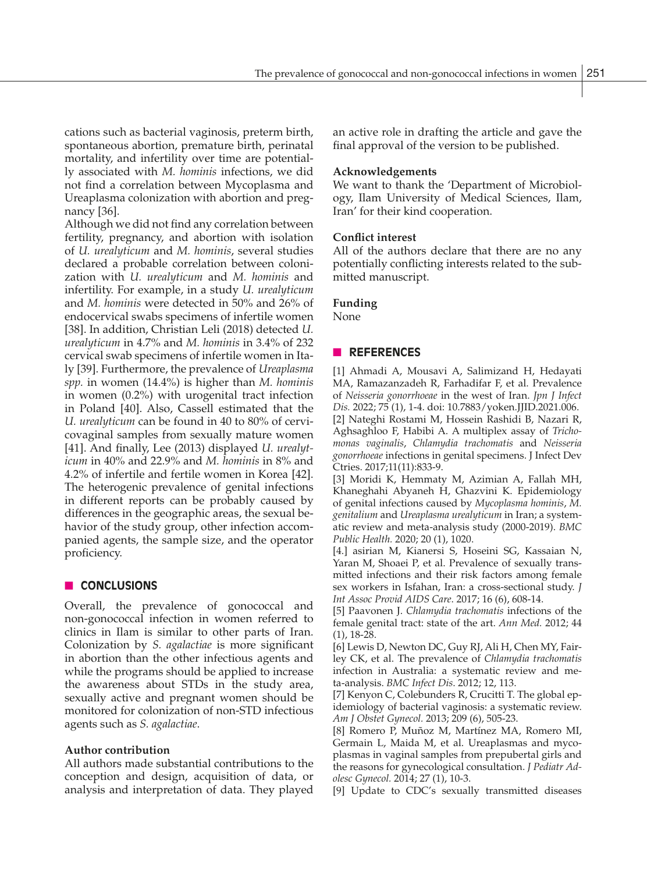cations such as bacterial vaginosis, preterm birth, spontaneous abortion, premature birth, perinatal mortality, and infertility over time are potentially associated with *M. hominis* infections, we did not find a correlation between Mycoplasma and Ureaplasma colonization with abortion and pregnancy [36].

Although we did not find any correlation between fertility, pregnancy, and abortion with isolation of *U. urealyticum* and *M. hominis*, several studies declared a probable correlation between colonization with *U. urealyticum* and *M. hominis* and infertility. For example, in a study *U. urealyticum* and *M. hominis* were detected in 50% and 26% of endocervical swabs specimens of infertile women [38]. In addition, Christian Leli (2018) detected *U. urealyticum* in 4.7% and *M. hominis* in 3.4% of 232 cervical swab specimens of infertile women in Italy [39]. Furthermore, the prevalence of *Ureaplasma spp.* in women (14.4%) is higher than *M. hominis* in women (0.2%) with urogenital tract infection in Poland [40]. Also, Cassell estimated that the *U. urealyticum* can be found in 40 to 80% of cervicovaginal samples from sexually mature women [41]. And finally, Lee (2013) displayed *U. urealyticum* in 40% and 22.9% and *M. hominis* in 8% and 4.2% of infertile and fertile women in Korea [42]. The heterogenic prevalence of genital infections in different reports can be probably caused by differences in the geographic areas, the sexual behavior of the study group, other infection accompanied agents, the sample size, and the operator proficiency.

# **n CONCLUSIONS**

Overall, the prevalence of gonococcal and non-gonococcal infection in women referred to clinics in Ilam is similar to other parts of Iran. Colonization by *S. agalactiae* is more significant in abortion than the other infectious agents and while the programs should be applied to increase the awareness about STDs in the study area, sexually active and pregnant women should be monitored for colonization of non-STD infectious agents such as *S. agalactiae*.

# **Author contribution**

All authors made substantial contributions to the conception and design, acquisition of data, or analysis and interpretation of data. They played an active role in drafting the article and gave the final approval of the version to be published.

### **Acknowledgements**

We want to thank the 'Department of Microbiology, Ilam University of Medical Sciences, Ilam, Iran' for their kind cooperation.

## **Conflict interest**

All of the authors declare that there are no any potentially conflicting interests related to the submitted manuscript.

# **Funding**

None

# n **REFERENCES**

[1] Ahmadi A, Mousavi A, Salimizand H, Hedayati MA, Ramazanzadeh R, Farhadifar F, et al. Prevalence of *Neisseria gonorrhoeae* in the west of Iran. *Jpn J Infect Dis.* 2022; 75 (1), 1-4. doi: 10.7883/yoken.JJID.2021.006. [2] Nateghi Rostami M, Hossein Rashidi B, Nazari R, Aghsaghloo F, Habibi A. A multiplex assay of *Trichomonas vaginalis*, *Chlamydia trachomatis* and *Neisseria gonorrhoeae* infections in genital specimens. J Infect Dev Ctries. 2017;11(11):833-9.

[3] Moridi K, Hemmaty M, Azimian A, Fallah MH, Khaneghahi Abyaneh H, Ghazvini K. Epidemiology of genital infections caused by *Mycoplasma hominis*, *M. genitalium* and *Ureaplasma urealyticum* in Iran; a systematic review and meta-analysis study (2000-2019). *BMC Public Health.* 2020; 20 (1), 1020.

[4.] asirian M, Kianersi S, Hoseini SG, Kassaian N, Yaran M, Shoaei P, et al. Prevalence of sexually transmitted infections and their risk factors among female sex workers in Isfahan, Iran: a cross-sectional study. *J Int Assoc Provid AIDS Care*. 2017; 16 (6), 608-14.

[5] Paavonen J. *Chlamydia trachomatis* infections of the female genital tract: state of the art. *Ann Med.* 2012; 44 (1), 18-28.

[6] Lewis D, Newton DC, Guy RJ, Ali H, Chen MY, Fairley CK, et al. The prevalence of *Chlamydia trachomatis* infection in Australia: a systematic review and meta-analysis. *BMC Infect Dis*. 2012; 12, 113.

[7] Kenyon C, Colebunders R, Crucitti T. The global epidemiology of bacterial vaginosis: a systematic review. *Am J Obstet Gynecol.* 2013; 209 (6), 505-23.

[8] Romero P, Muñoz M, Martínez MA, Romero MI, Germain L, Maida M, et al. Ureaplasmas and mycoplasmas in vaginal samples from prepubertal girls and the reasons for gynecological consultation. *J Pediatr Adolesc Gynecol.* 2014; 27 (1), 10-3.

[9] Update to CDC's sexually transmitted diseases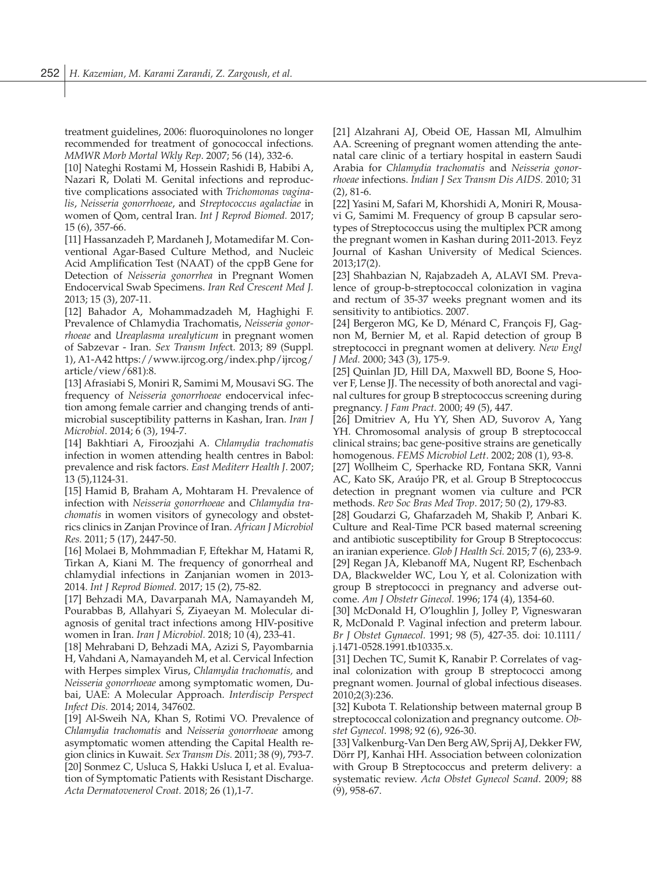treatment guidelines, 2006: fluoroquinolones no longer recommended for treatment of gonococcal infections. *MMWR Morb Mortal Wkly Rep*. 2007; 56 (14), 332-6.

[10] Nateghi Rostami M, Hossein Rashidi B, Habibi A, Nazari R, Dolati M. Genital infections and reproductive complications associated with *Trichomonas vaginalis*, *Neisseria gonorrhoeae*, and *Streptococcus agalactiae* in women of Qom, central Iran. *Int J Reprod Biomed.* 2017; 15 (6), 357-66.

[11] Hassanzadeh P, Mardaneh J, Motamedifar M. Conventional Agar-Based Culture Method, and Nucleic Acid Amplification Test (NAAT) of the cppB Gene for Detection of *Neisseria gonorrhea* in Pregnant Women Endocervical Swab Specimens. *Iran Red Crescent Med J.*  2013; 15 (3), 207-11.

[12] Bahador A, Mohammadzadeh M, Haghighi F. Prevalence of Chlamydia Trachomatis, *Neisseria gonorrhoeae* and *Ureaplasma urealyticum* in pregnant women of Sabzevar - Iran. *Sex Transm Infec*t. 2013; 89 (Suppl. 1), A1-A42 https://www.ijrcog.org/index.php/ijrcog/ article/view/681):8.

[13] Afrasiabi S, Moniri R, Samimi M, Mousavi SG. The frequency of *Neisseria gonorrhoeae* endocervical infection among female carrier and changing trends of antimicrobial susceptibility patterns in Kashan, Iran. *Iran J Microbiol*. 2014; 6 (3), 194-7.

[14] Bakhtiari A, Firoozjahi A. *Chlamydia trachomatis* infection in women attending health centres in Babol: prevalence and risk factors. *East Mediterr Health J*. 2007; 13 (5),1124-31.

[15] Hamid B, Braham A, Mohtaram H. Prevalence of infection with *Neisseria gonorrhoeae* and *Chlamydia trachomatis* in women visitors of gynecology and obstetrics clinics in Zanjan Province of Iran. *African J Microbiol Res.* 2011; 5 (17), 2447-50.

[16] Molaei B, Mohmmadian F, Eftekhar M, Hatami R, Tirkan A, Kiani M. The frequency of gonorrheal and chlamydial infections in Zanjanian women in 2013- 2014. *Int J Reprod Biomed.* 2017; 15 (2), 75-82.

[17] Behzadi MA, Davarpanah MA, Namayandeh M, Pourabbas B, Allahyari S, Ziyaeyan M. Molecular diagnosis of genital tract infections among HIV-positive women in Iran. *Iran J Microbiol.* 2018; 10 (4), 233-41.

[18] Mehrabani D, Behzadi MA, Azizi S, Payombarnia H, Vahdani A, Namayandeh M, et al. Cervical Infection with Herpes simplex Virus, *Chlamydia trachomatis,* and *Neisseria gonorrhoeae* among symptomatic women, Dubai, UAE: A Molecular Approach. *Interdiscip Perspect Infect Dis.* 2014; 2014, 347602.

[19] Al-Sweih NA, Khan S, Rotimi VO. Prevalence of *Chlamydia trachomatis* and *Neisseria gonorrhoeae* among asymptomatic women attending the Capital Health region clinics in Kuwait. *Sex Transm Dis.* 2011; 38 (9), 793-7. [20] Sonmez C, Usluca S, Hakki Usluca I, et al. Evaluation of Symptomatic Patients with Resistant Discharge. *Acta Dermatovenerol Croat.* 2018; 26 (1),1-7.

[21] Alzahrani AJ, Obeid OE, Hassan MI, Almulhim AA. Screening of pregnant women attending the antenatal care clinic of a tertiary hospital in eastern Saudi Arabia for *Chlamydia trachomatis* and *Neisseria gonorrhoeae* infections. *Indian J Sex Transm Dis AIDS.* 2010; 31 (2), 81-6.

[22] Yasini M, Safari M, Khorshidi A, Moniri R, Mousavi G, Samimi M. Frequency of group B capsular serotypes of Streptococcus using the multiplex PCR among the pregnant women in Kashan during 2011-2013. Feyz Journal of Kashan University of Medical Sciences. 2013;17(2).

[23] Shahbazian N, Rajabzadeh A, ALAVI SM. Prevalence of group-b-streptococcal colonization in vagina and rectum of 35-37 weeks pregnant women and its sensitivity to antibiotics. 2007.

[24] Bergeron MG, Ke D, Ménard C, François FJ, Gagnon M, Bernier M, et al. Rapid detection of group B streptococci in pregnant women at delivery. *New Engl J Med.* 2000; 343 (3), 175-9.

[25] Quinlan JD, Hill DA, Maxwell BD, Boone S, Hoover F, Lense JJ. The necessity of both anorectal and vaginal cultures for group B streptococcus screening during pregnancy. *J Fam Pract.* 2000; 49 (5), 447.

[26] Dmitriev A, Hu YY, Shen AD, Suvorov A, Yang YH. Chromosomal analysis of group B streptococcal clinical strains; bac gene-positive strains are genetically homogenous. *FEMS Microbiol Lett*. 2002; 208 (1), 93-8.

[27] Wollheim C, Sperhacke RD, Fontana SKR, Vanni AC, Kato SK, Araújo PR, et al. Group B Streptococcus detection in pregnant women via culture and PCR methods. *Rev Soc Bras Med Trop*. 2017; 50 (2), 179-83.

[28] Goudarzi G, Ghafarzadeh M, Shakib P, Anbari K. Culture and Real-Time PCR based maternal screening and antibiotic susceptibility for Group B Streptococcus: an iranian experience. *Glob J Health Sci.* 2015; 7 (6), 233-9. [29] Regan JA, Klebanoff MA, Nugent RP, Eschenbach DA, Blackwelder WC, Lou Y, et al. Colonization with group B streptococci in pregnancy and adverse outcome. *Am J Obstetr Ginecol.* 1996; 174 (4), 1354-60.

[30] McDonald H, O'loughlin J, Jolley P, Vigneswaran R, McDonald P. Vaginal infection and preterm labour. *Br J Obstet Gynaecol.* 1991; 98 (5), 427-35. doi: 10.1111/ j.1471-0528.1991.tb10335.x.

[31] Dechen TC, Sumit K, Ranabir P. Correlates of vaginal colonization with group B streptococci among pregnant women. Journal of global infectious diseases. 2010;2(3):236.

[32] Kubota T. Relationship between maternal group B streptococcal colonization and pregnancy outcome. *Obstet Gynecol*. 1998; 92 (6), 926-30.

[33] Valkenburg-Van Den Berg AW, Sprij AJ, Dekker FW, Dörr PJ, Kanhai HH. Association between colonization with Group B Streptococcus and preterm delivery: a systematic review. *Acta Obstet Gynecol Scand*. 2009; 88 (9), 958-67.